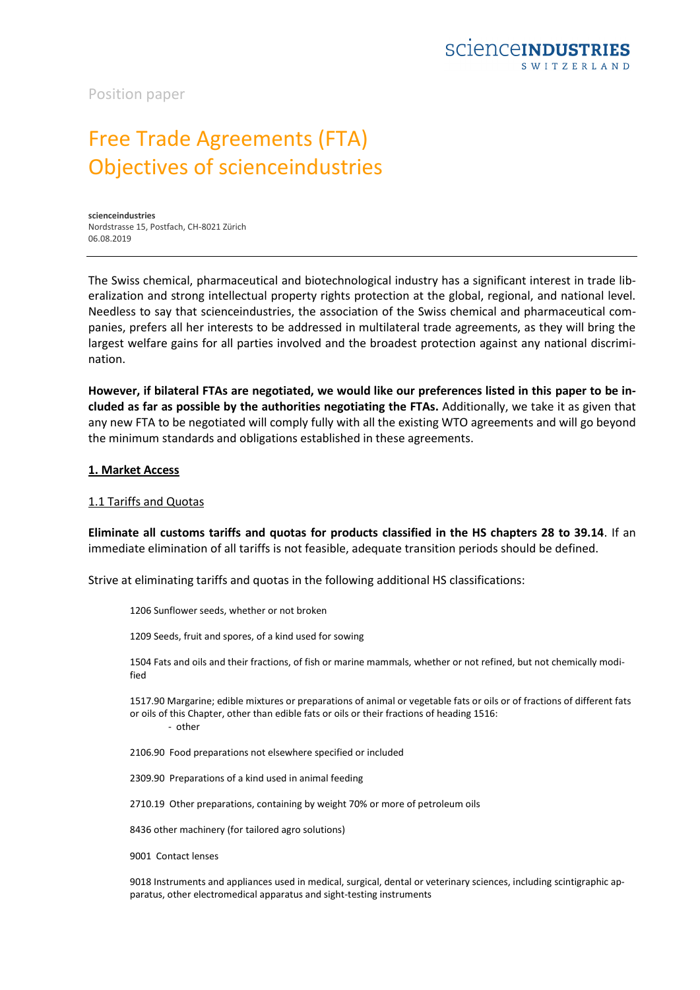Position paper

# Free Trade Agreements (FTA) Objectives of scienceindustries

**scienceindustries** Nordstrasse 15, Postfach, CH-8021 Zürich 06.08.2019

The Swiss chemical, pharmaceutical and biotechnological industry has a significant interest in trade liberalization and strong intellectual property rights protection at the global, regional, and national level. Needless to say that scienceindustries, the association of the Swiss chemical and pharmaceutical companies, prefers all her interests to be addressed in multilateral trade agreements, as they will bring the largest welfare gains for all parties involved and the broadest protection against any national discrimination.

**However, if bilateral FTAs are negotiated, we would like our preferences listed in this paper to be included as far as possible by the authorities negotiating the FTAs.** Additionally, we take it as given that any new FTA to be negotiated will comply fully with all the existing WTO agreements and will go beyond the minimum standards and obligations established in these agreements.

#### **1. Market Access**

#### 1.1 Tariffs and Quotas

**Eliminate all customs tariffs and quotas for products classified in the HS chapters 28 to 39.14**. If an immediate elimination of all tariffs is not feasible, adequate transition periods should be defined.

Strive at eliminating tariffs and quotas in the following additional HS classifications:

1206 Sunflower seeds, whether or not broken

1209 Seeds, fruit and spores, of a kind used for sowing

1504 Fats and oils and their fractions, of fish or marine mammals, whether or not refined, but not chemically modified

1517.90 Margarine; edible mixtures or preparations of animal or vegetable fats or oils or of fractions of different fats or oils of this Chapter, other than edible fats or oils or their fractions of heading 1516: - other

2106.90 Food preparations not elsewhere specified or included

2309.90 Preparations of a kind used in animal feeding

2710.19 Other preparations, containing by weight 70% or more of petroleum oils

8436 other machinery (for tailored agro solutions)

9001 Contact lenses

9018 Instruments and appliances used in medical, surgical, dental or veterinary sciences, including scintigraphic apparatus, other electromedical apparatus and sight-testing instruments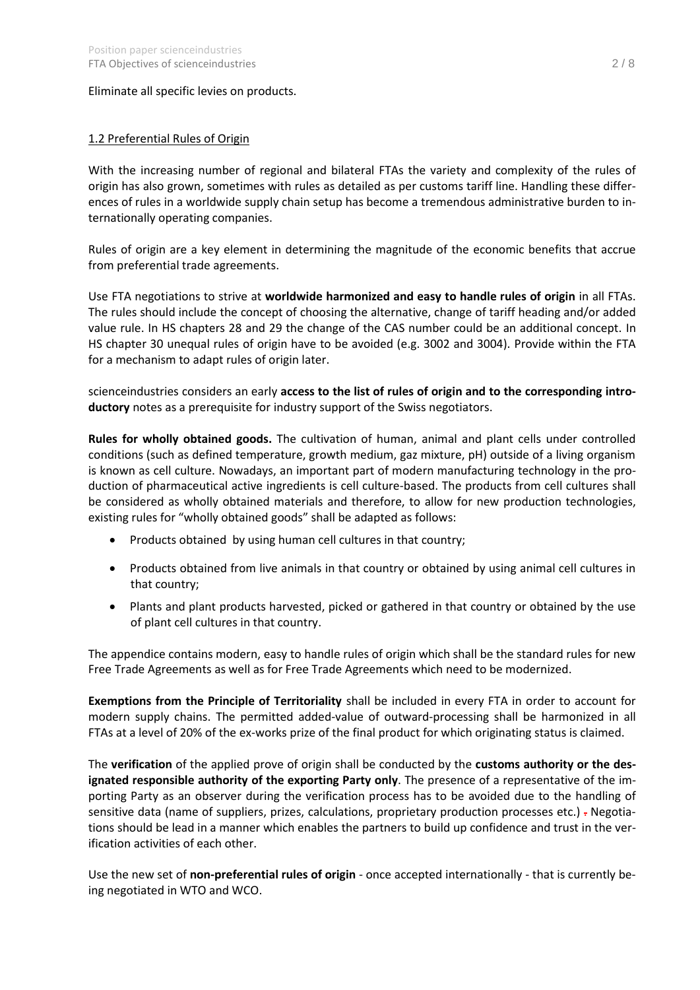## Eliminate all specific levies on products.

# 1.2 Preferential Rules of Origin

With the increasing number of regional and bilateral FTAs the variety and complexity of the rules of origin has also grown, sometimes with rules as detailed as per customs tariff line. Handling these differences of rules in a worldwide supply chain setup has become a tremendous administrative burden to internationally operating companies.

Rules of origin are a key element in determining the magnitude of the economic benefits that accrue from preferential trade agreements.

Use FTA negotiations to strive at **worldwide harmonized and easy to handle rules of origin** in all FTAs. The rules should include the concept of choosing the alternative, change of tariff heading and/or added value rule. In HS chapters 28 and 29 the change of the CAS number could be an additional concept. In HS chapter 30 unequal rules of origin have to be avoided (e.g. 3002 and 3004). Provide within the FTA for a mechanism to adapt rules of origin later.

scienceindustries considers an early **access to the list of rules of origin and to the corresponding introductory** notes as a prerequisite for industry support of the Swiss negotiators.

**Rules for wholly obtained goods.** The cultivation of human, animal and plant cells under controlled conditions (such as defined temperature, growth medium, gaz mixture, pH) outside of a living organism is known as cell culture. Nowadays, an important part of modern manufacturing technology in the production of pharmaceutical active ingredients is cell culture-based. The products from cell cultures shall be considered as wholly obtained materials and therefore, to allow for new production technologies, existing rules for "wholly obtained goods" shall be adapted as follows:

- Products obtained by using human cell cultures in that country;
- Products obtained from live animals in that country or obtained by using animal cell cultures in that country;
- Plants and plant products harvested, picked or gathered in that country or obtained by the use of plant cell cultures in that country.

The appendice contains modern, easy to handle rules of origin which shall be the standard rules for new Free Trade Agreements as well as for Free Trade Agreements which need to be modernized.

**Exemptions from the Principle of Territoriality** shall be included in every FTA in order to account for modern supply chains. The permitted added-value of outward-processing shall be harmonized in all FTAs at a level of 20% of the ex-works prize of the final product for which originating status is claimed.

The **verification** of the applied prove of origin shall be conducted by the **customs authority or the designated responsible authority of the exporting Party only**. The presence of a representative of the importing Party as an observer during the verification process has to be avoided due to the handling of sensitive data (name of suppliers, prizes, calculations, proprietary production processes etc.) - Negotiations should be lead in a manner which enables the partners to build up confidence and trust in the verification activities of each other.

Use the new set of **non-preferential rules of origin** - once accepted internationally - that is currently being negotiated in WTO and WCO.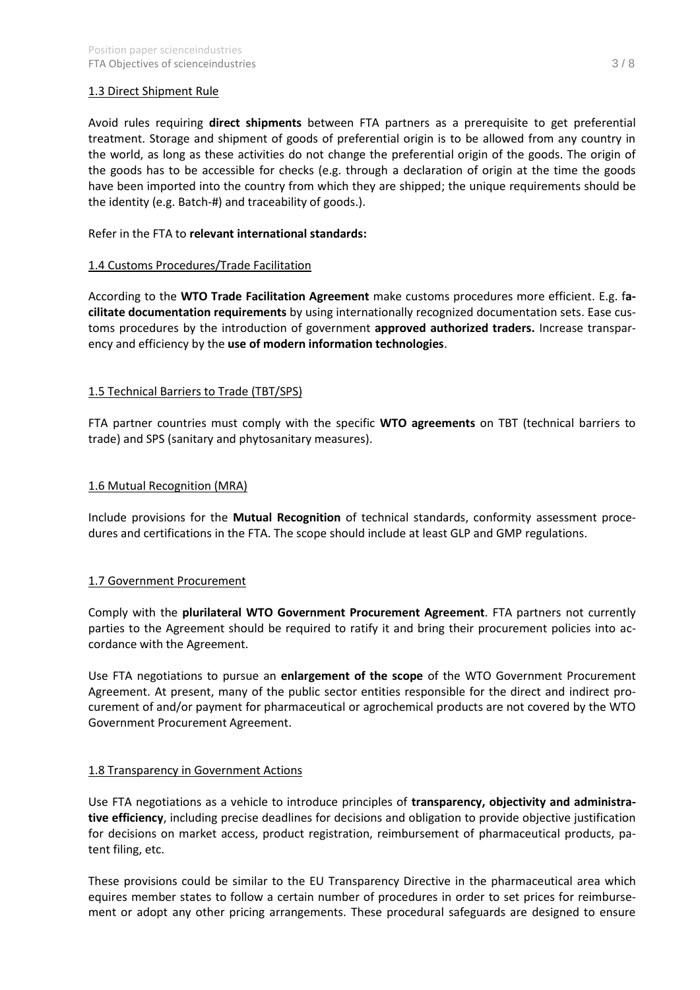# 1.3 Direct Shipment Rule

Avoid rules requiring **direct shipments** between FTA partners as a prerequisite to get preferential treatment. Storage and shipment of goods of preferential origin is to be allowed from any country in the world, as long as these activities do not change the preferential origin of the goods. The origin of the goods has to be accessible for checks (e.g. through a declaration of origin at the time the goods have been imported into the country from which they are shipped; the unique requirements should be the identity (e.g. Batch-#) and traceability of goods.).

# Refer in the FTA to **relevant international standards:**

## 1.4 Customs Procedures/Trade Facilitation

According to the **WTO Trade Facilitation Agreement** make customs procedures more efficient. E.g. f**acilitate documentation requirements** by using internationally recognized documentation sets. Ease customs procedures by the introduction of government **approved authorized traders.** Increase transparency and efficiency by the **use of modern information technologies**.

# 1.5 Technical Barriers to Trade (TBT/SPS)

FTA partner countries must comply with the specific **WTO agreements** on TBT (technical barriers to trade) and SPS (sanitary and phytosanitary measures).

#### 1.6 Mutual Recognition (MRA)

Include provisions for the **Mutual Recognition** of technical standards, conformity assessment procedures and certifications in the FTA. The scope should include at least GLP and GMP regulations.

#### 1.7 Government Procurement

Comply with the **plurilateral WTO Government Procurement Agreement**. FTA partners not currently parties to the Agreement should be required to ratify it and bring their procurement policies into accordance with the Agreement.

Use FTA negotiations to pursue an **enlargement of the scope** of the WTO Government Procurement Agreement. At present, many of the public sector entities responsible for the direct and indirect procurement of and/or payment for pharmaceutical or agrochemical products are not covered by the WTO Government Procurement Agreement.

#### 1.8 Transparency in Government Actions

Use FTA negotiations as a vehicle to introduce principles of **transparency, objectivity and administrative efficiency**, including precise deadlines for decisions and obligation to provide objective justification for decisions on market access, product registration, reimbursement of pharmaceutical products, patent filing, etc.

These provisions could be similar to the EU Transparency Directive in the pharmaceutical area which equires member states to follow a certain number of procedures in order to set prices for reimbursement or adopt any other pricing arrangements. These procedural safeguards are designed to ensure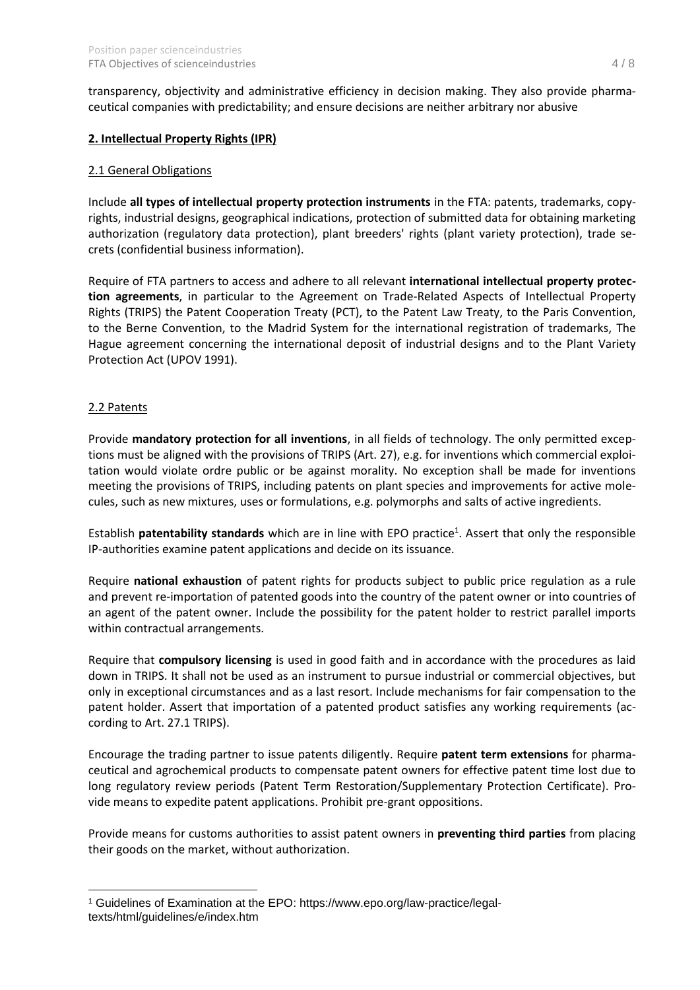transparency, objectivity and administrative efficiency in decision making. They also provide pharmaceutical companies with predictability; and ensure decisions are neither arbitrary nor abusive

## **2. Intellectual Property Rights (IPR)**

#### 2.1 General Obligations

Include **all types of intellectual property protection instruments** in the FTA: patents, trademarks, copyrights, industrial designs, geographical indications, protection of submitted data for obtaining marketing authorization (regulatory data protection), plant breeders' rights (plant variety protection), trade secrets (confidential business information).

Require of FTA partners to access and adhere to all relevant **international intellectual property protection agreements**, in particular to the Agreement on Trade-Related Aspects of Intellectual Property Rights (TRIPS) the Patent Cooperation Treaty (PCT), to the Patent Law Treaty, to the Paris Convention, to the Berne Convention, to the Madrid System for the international registration of trademarks, The Hague agreement concerning the international deposit of industrial designs and to the Plant Variety Protection Act (UPOV 1991).

## 2.2 Patents

Provide **mandatory protection for all inventions**, in all fields of technology. The only permitted exceptions must be aligned with the provisions of TRIPS (Art. 27), e.g. for inventions which commercial exploitation would violate ordre public or be against morality. No exception shall be made for inventions meeting the provisions of TRIPS, including patents on plant species and improvements for active molecules, such as new mixtures, uses or formulations, e.g. polymorphs and salts of active ingredients.

Establish **patentability standards** which are in line with EPO practice<sup>1</sup>. Assert that only the responsible IP-authorities examine patent applications and decide on its issuance.

Require **national exhaustion** of patent rights for products subject to public price regulation as a rule and prevent re-importation of patented goods into the country of the patent owner or into countries of an agent of the patent owner. Include the possibility for the patent holder to restrict parallel imports within contractual arrangements.

Require that **compulsory licensing** is used in good faith and in accordance with the procedures as laid down in TRIPS. It shall not be used as an instrument to pursue industrial or commercial objectives, but only in exceptional circumstances and as a last resort. Include mechanisms for fair compensation to the patent holder. Assert that importation of a patented product satisfies any working requirements (according to Art. 27.1 TRIPS).

Encourage the trading partner to issue patents diligently. Require **patent term extensions** for pharmaceutical and agrochemical products to compensate patent owners for effective patent time lost due to long regulatory review periods (Patent Term Restoration/Supplementary Protection Certificate). Provide means to expedite patent applications. Prohibit pre-grant oppositions.

Provide means for customs authorities to assist patent owners in **preventing third parties** from placing their goods on the market, without authorization.

<sup>1</sup> Guidelines of Examination at the EPO: https://www.epo.org/law-practice/legaltexts/html/guidelines/e/index.htm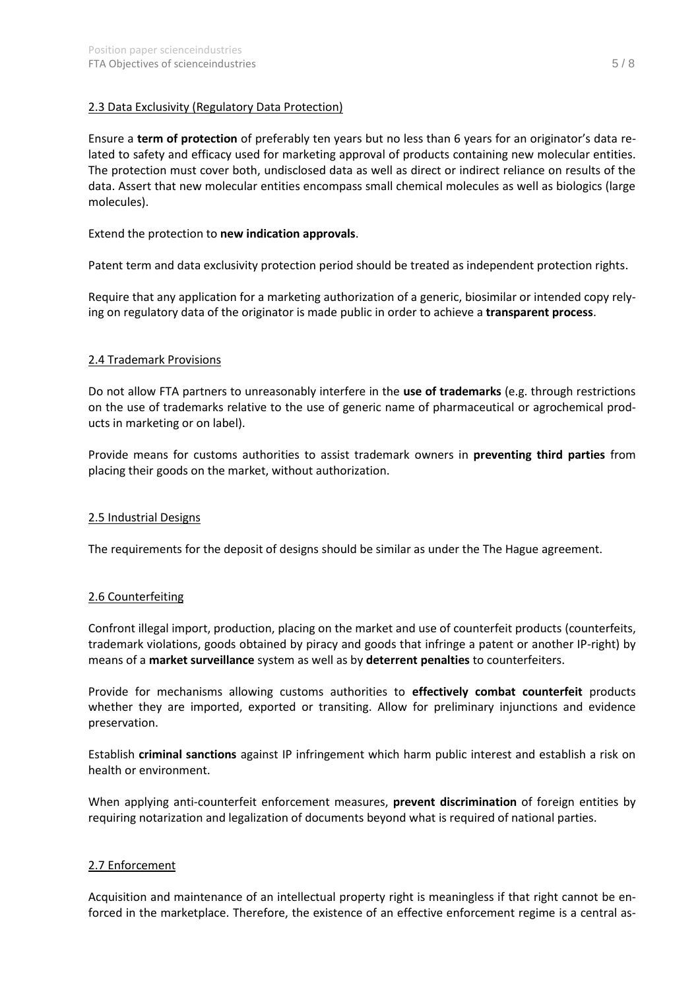# 2.3 Data Exclusivity (Regulatory Data Protection)

Ensure a **term of protection** of preferably ten years but no less than 6 years for an originator's data related to safety and efficacy used for marketing approval of products containing new molecular entities. The protection must cover both, undisclosed data as well as direct or indirect reliance on results of the data. Assert that new molecular entities encompass small chemical molecules as well as biologics (large molecules).

## Extend the protection to **new indication approvals**.

Patent term and data exclusivity protection period should be treated as independent protection rights.

Require that any application for a marketing authorization of a generic, biosimilar or intended copy relying on regulatory data of the originator is made public in order to achieve a **transparent process**.

#### 2.4 Trademark Provisions

Do not allow FTA partners to unreasonably interfere in the **use of trademarks** (e.g. through restrictions on the use of trademarks relative to the use of generic name of pharmaceutical or agrochemical products in marketing or on label).

Provide means for customs authorities to assist trademark owners in **preventing third parties** from placing their goods on the market, without authorization.

#### 2.5 Industrial Designs

The requirements for the deposit of designs should be similar as under the The Hague agreement.

#### 2.6 Counterfeiting

Confront illegal import, production, placing on the market and use of counterfeit products (counterfeits, trademark violations, goods obtained by piracy and goods that infringe a patent or another IP-right) by means of a **market surveillance** system as well as by **deterrent penalties** to counterfeiters.

Provide for mechanisms allowing customs authorities to **effectively combat counterfeit** products whether they are imported, exported or transiting. Allow for preliminary injunctions and evidence preservation.

Establish **criminal sanctions** against IP infringement which harm public interest and establish a risk on health or environment.

When applying anti-counterfeit enforcement measures, **prevent discrimination** of foreign entities by requiring notarization and legalization of documents beyond what is required of national parties.

#### 2.7 Enforcement

Acquisition and maintenance of an intellectual property right is meaningless if that right cannot be enforced in the marketplace. Therefore, the existence of an effective enforcement regime is a central as-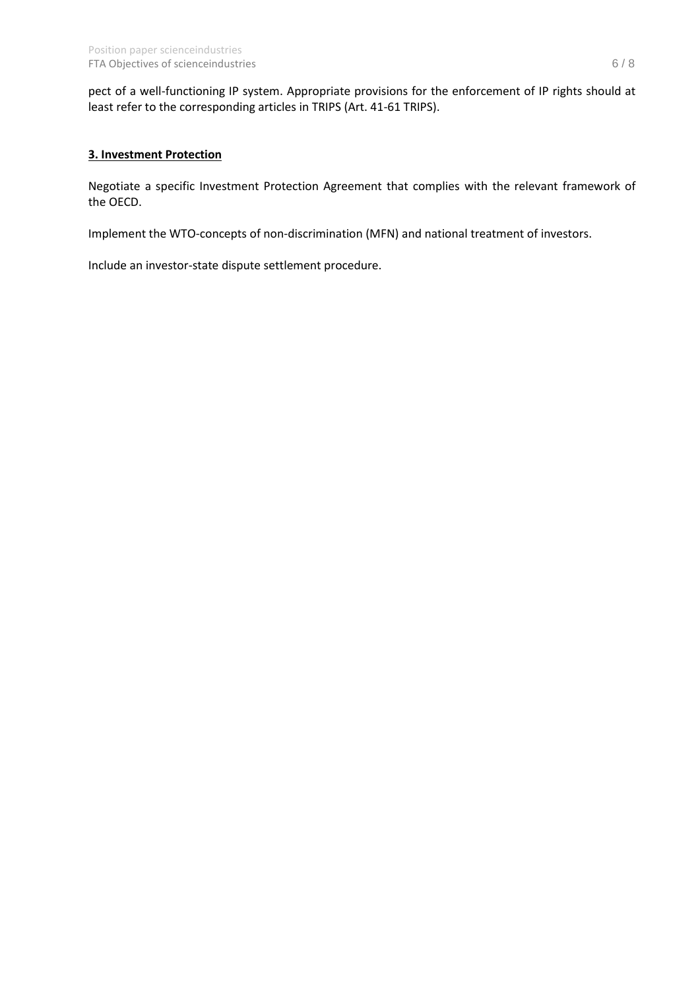pect of a well-functioning IP system. Appropriate provisions for the enforcement of IP rights should at least refer to the corresponding articles in TRIPS (Art. 41-61 TRIPS).

# **3. Investment Protection**

Negotiate a specific Investment Protection Agreement that complies with the relevant framework of the OECD.

Implement the WTO-concepts of non-discrimination (MFN) and national treatment of investors.

Include an investor-state dispute settlement procedure.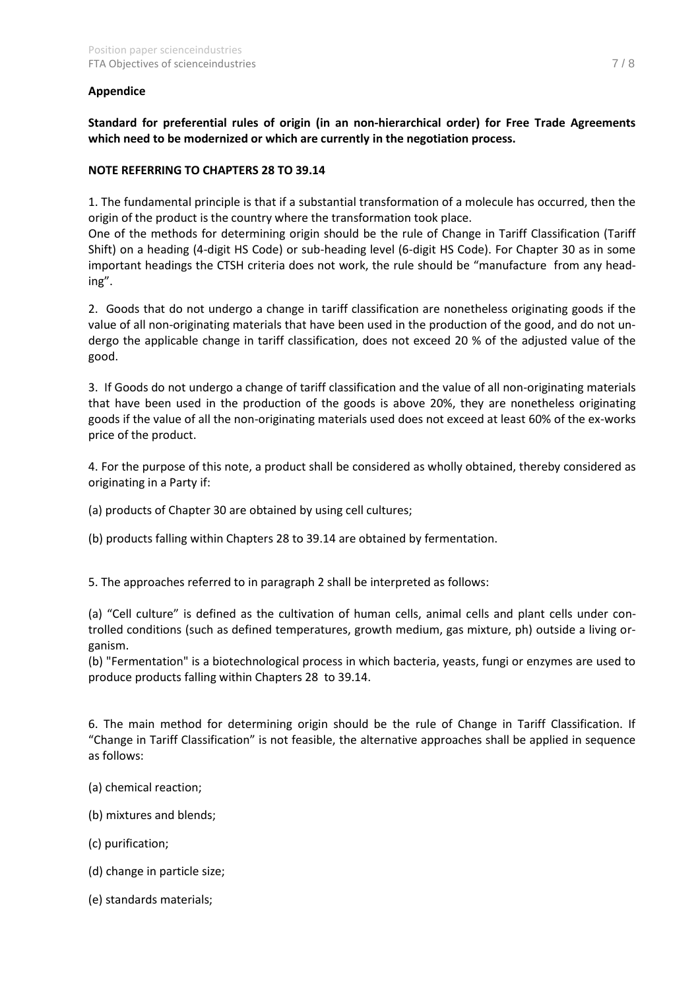# **Appendice**

**Standard for preferential rules of origin (in an non-hierarchical order) for Free Trade Agreements which need to be modernized or which are currently in the negotiation process.**

#### **NOTE REFERRING TO CHAPTERS 28 TO 39.14**

1. The fundamental principle is that if a substantial transformation of a molecule has occurred, then the origin of the product is the country where the transformation took place.

One of the methods for determining origin should be the rule of Change in Tariff Classification (Tariff Shift) on a heading (4-digit HS Code) or sub-heading level (6-digit HS Code). For Chapter 30 as in some important headings the CTSH criteria does not work, the rule should be "manufacture from any heading".

2. Goods that do not undergo a change in tariff classification are nonetheless originating goods if the value of all non-originating materials that have been used in the production of the good, and do not undergo the applicable change in tariff classification, does not exceed 20 % of the adjusted value of the good.

3. If Goods do not undergo a change of tariff classification and the value of all non-originating materials that have been used in the production of the goods is above 20%, they are nonetheless originating goods if the value of all the non-originating materials used does not exceed at least 60% of the ex-works price of the product.

4. For the purpose of this note, a product shall be considered as wholly obtained, thereby considered as originating in a Party if:

(a) products of Chapter 30 are obtained by using cell cultures;

(b) products falling within Chapters 28 to 39.14 are obtained by fermentation.

5. The approaches referred to in paragraph 2 shall be interpreted as follows:

(a) "Cell culture" is defined as the cultivation of human cells, animal cells and plant cells under controlled conditions (such as defined temperatures, growth medium, gas mixture, ph) outside a living organism.

(b) "Fermentation" is a biotechnological process in which bacteria, yeasts, fungi or enzymes are used to produce products falling within Chapters 28 to 39.14.

6. The main method for determining origin should be the rule of Change in Tariff Classification. If "Change in Tariff Classification" is not feasible, the alternative approaches shall be applied in sequence as follows:

- (a) chemical reaction;
- (b) mixtures and blends;
- (c) purification;
- (d) change in particle size;
- (e) standards materials;